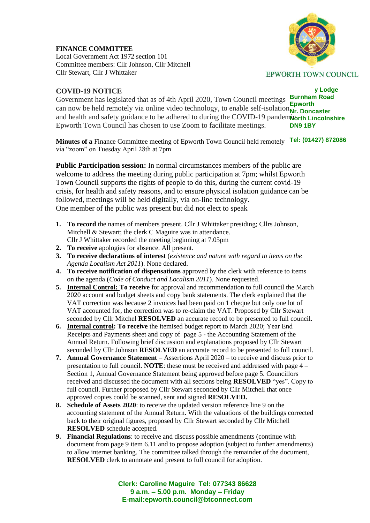**FINANCE COMMITTEE**

Local Government Act 1972 section 101 Committee members: Cllr Johnson, Cllr Mitchell Cllr Stewart, Cllr J Whittaker

## **COVID-19 NOTICE**

**v** Lodge Government has legislated that as of 4th April 2020, Town Council meetings **Burnham Road Epworth** can now be held remotely via online video technology, to enable self-isolation **Nr.** Doncaster and health and safety guidance to be adhered to during the COVID-19 pandem**icrity** Lincolnshire **DN9 1BY** Epworth Town Council has chosen to use Zoom to facilitate meetings.

**Minutes of a Finance Committee meeting of Epworth Town Council held remotely Tel: (01427) 872086** via "zoom" on Tuesday April 28th at 7pm

**Public Participation session:** In normal circumstances members of the public are welcome to address the meeting during public participation at 7pm; whilst Epworth Town Council supports the rights of people to do this, during the current covid-19 crisis, for health and safety reasons, and to ensure physical isolation guidance can be followed, meetings will be held digitally, via on-line technology. One member of the public was present but did not elect to speak

- **1. To record** the names of members present. Cllr J Whittaker presiding; Cllrs Johnson, Mitchell & Stewart; the clerk C Maguire was in attendance. Cllr J Whittaker recorded the meeting beginning at 7.05pm
- **2. To receive** apologies for absence. All present.
- **3. To receive declarations of interest** (*existence and nature with regard to items on the Agenda Localism Act 2011*). None declared.
- **4. To receive notification of dispensations** approved by the clerk with reference to items on the agenda (*Code of Conduct and Localism 2011*). None requested.
- **5. Internal Control: To receive** for approval and recommendation to full council the March 2020 account and budget sheets and copy bank statements. The clerk explained that the VAT correction was because 2 invoices had been paid on 1 cheque but only one lot of VAT accounted for, the correction was to re-claim the VAT. Proposed by Cllr Stewart seconded by Cllr Mitchel **RESOLVED** an accurate record to be presented to full council.
- **6. Internal control: To receive** the itemised budget report to March 2020; Year End Receipts and Payments sheet and copy of page 5 - the Accounting Statement of the Annual Return. Following brief discussion and explanations proposed by Cllr Stewart seconded by Cllr Johnson **RESOLVED** an accurate record to be presented to full council.
- **7. Annual Governance Statement** Assertions April 2020 to receive and discuss prior to presentation to full council. **NOTE**: these must be received and addressed with page 4 – Section 1, Annual Governance Statement being approved before page 5. Councillors received and discussed the document with all sections being **RESOLVED** "yes". Copy to full council. Further proposed by Cllr Stewart seconded by Cllr Mitchell that once approved copies could be scanned, sent and signed **RESOLVED.**
- **8. Schedule of Assets 2020**: to receive the updated version reference line 9 on the accounting statement of the Annual Return. With the valuations of the buildings corrected back to their original figures, proposed by Cllr Stewart seconded by Cllr Mitchell **RESOLVED** schedule accepted.
- **9. Financial Regulations**: to receive and discuss possible amendments (continue with document from page 9 item 6.11 and to propose adoption (subject to further amendments) to allow internet banking. The committee talked through the remainder of the document, **RESOLVED** clerk to annotate and present to full council for adoption.

**Clerk: Caroline Maguire Tel: 077343 86628 9 a.m. – 5.00 p.m. Monday – Friday E-mail:epworth.council@btconnect.com**

**EPWORTH TOWN COUNCIL**